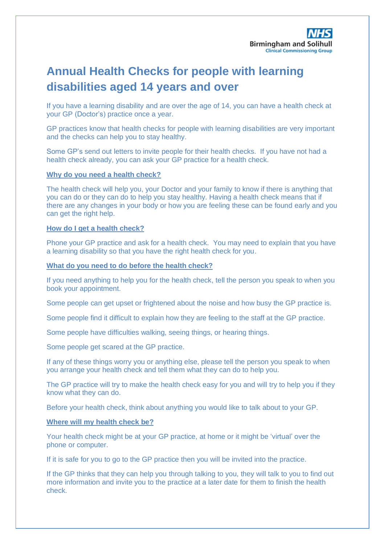# **Annual Health Checks for people with learning disabilities aged 14 years and over**

If you have a learning disability and are over the age of 14, you can have a health check at your GP (Doctor's) practice once a year.

GP practices know that health checks for people with learning disabilities are very important and the checks can help you to stay healthy.

Some GP's send out letters to invite people for their health checks. If you have not had a health check already, you can ask your GP practice for a health check.

## **Why do you need a health check?**

The health check will help you, your Doctor and your family to know if there is anything that you can do or they can do to help you stay healthy. Having a health check means that if there are any changes in your body or how you are feeling these can be found early and you can get the right help.

#### **How do I get a health check?**

Phone your GP practice and ask for a health check. You may need to explain that you have a learning disability so that you have the right health check for you.

# **What do you need to do before the health check?**

If you need anything to help you for the health check, tell the person you speak to when you book your appointment.

Some people can get upset or frightened about the noise and how busy the GP practice is.

Some people find it difficult to explain how they are feeling to the staff at the GP practice.

Some people have difficulties walking, seeing things, or hearing things.

Some people get scared at the GP practice.

If any of these things worry you or anything else, please tell the person you speak to when you arrange your health check and tell them what they can do to help you.

The GP practice will try to make the health check easy for you and will try to help you if they know what they can do.

Before your health check, think about anything you would like to talk about to your GP.

# **Where will my health check be?**

Your health check might be at your GP practice, at home or it might be 'virtual' over the phone or computer.

If it is safe for you to go to the GP practice then you will be invited into the practice.

If the GP thinks that they can help you through talking to you, they will talk to you to find out more information and invite you to the practice at a later date for them to finish the health check.